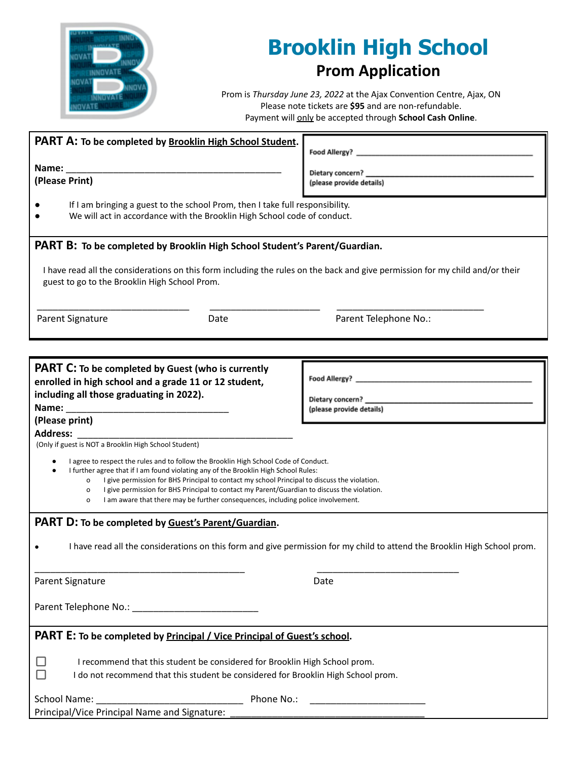

## **Brooklin High School Prom Application**

Prom is *Thursday June 23, 2022* at the Ajax Convention Centre, Ajax, ON Please note tickets are **\$95** and are non-refundable. Payment will only be accepted through **School Cash Online**.

| PART A: To be completed by Brooklin High School Student.                                                                                                                                                                                                                                                                                                                                                                                                                            | Food Allergy?                                                     |
|-------------------------------------------------------------------------------------------------------------------------------------------------------------------------------------------------------------------------------------------------------------------------------------------------------------------------------------------------------------------------------------------------------------------------------------------------------------------------------------|-------------------------------------------------------------------|
|                                                                                                                                                                                                                                                                                                                                                                                                                                                                                     |                                                                   |
| (Please Print)                                                                                                                                                                                                                                                                                                                                                                                                                                                                      | Dietary concern?<br>(please provide details)                      |
|                                                                                                                                                                                                                                                                                                                                                                                                                                                                                     |                                                                   |
| If I am bringing a guest to the school Prom, then I take full responsibility.<br>We will act in accordance with the Brooklin High School code of conduct.                                                                                                                                                                                                                                                                                                                           |                                                                   |
| PART B: To be completed by Brooklin High School Student's Parent/Guardian.                                                                                                                                                                                                                                                                                                                                                                                                          |                                                                   |
| I have read all the considerations on this form including the rules on the back and give permission for my child and/or their<br>guest to go to the Brooklin High School Prom.                                                                                                                                                                                                                                                                                                      |                                                                   |
| Parent Signature<br>Date                                                                                                                                                                                                                                                                                                                                                                                                                                                            | Parent Telephone No.:                                             |
|                                                                                                                                                                                                                                                                                                                                                                                                                                                                                     |                                                                   |
|                                                                                                                                                                                                                                                                                                                                                                                                                                                                                     |                                                                   |
|                                                                                                                                                                                                                                                                                                                                                                                                                                                                                     |                                                                   |
| <b>PART C:</b> To be completed by Guest (who is currently<br>enrolled in high school and a grade 11 or 12 student,<br>including all those graduating in 2022).<br>(Please print)                                                                                                                                                                                                                                                                                                    | Food Allergy? _<br>Dietary concern? _<br>(please provide details) |
| <b>Address:</b>                                                                                                                                                                                                                                                                                                                                                                                                                                                                     |                                                                   |
| (Only if guest is NOT a Brooklin High School Student)                                                                                                                                                                                                                                                                                                                                                                                                                               |                                                                   |
| I agree to respect the rules and to follow the Brooklin High School Code of Conduct.<br>I further agree that if I am found violating any of the Brooklin High School Rules:<br>I give permission for BHS Principal to contact my school Principal to discuss the violation.<br>0<br>I give permission for BHS Principal to contact my Parent/Guardian to discuss the violation.<br>0<br>I am aware that there may be further consequences, including police involvement.<br>$\circ$ |                                                                   |
| PART D: To be completed by Guest's Parent/Guardian.                                                                                                                                                                                                                                                                                                                                                                                                                                 |                                                                   |
| I have read all the considerations on this form and give permission for my child to attend the Brooklin High School prom.                                                                                                                                                                                                                                                                                                                                                           |                                                                   |
| Parent Signature                                                                                                                                                                                                                                                                                                                                                                                                                                                                    | Date                                                              |
|                                                                                                                                                                                                                                                                                                                                                                                                                                                                                     |                                                                   |
| <b>PART E:</b> To be completed by <b>Principal / Vice Principal of Guest's school</b> .                                                                                                                                                                                                                                                                                                                                                                                             |                                                                   |
| I recommend that this student be considered for Brooklin High School prom.<br>I do not recommend that this student be considered for Brooklin High School prom.                                                                                                                                                                                                                                                                                                                     |                                                                   |
| <b>School Name:</b><br>Phone No.:                                                                                                                                                                                                                                                                                                                                                                                                                                                   |                                                                   |

Principal/Vice Principal Name and Signature: